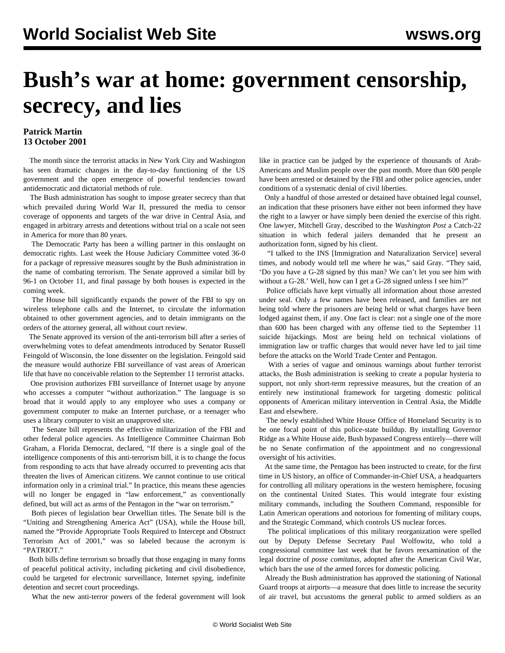## **Bush's war at home: government censorship, secrecy, and lies**

## **Patrick Martin 13 October 2001**

 The month since the terrorist attacks in New York City and Washington has seen dramatic changes in the day-to-day functioning of the US government and the open emergence of powerful tendencies toward antidemocratic and dictatorial methods of rule.

 The Bush administration has sought to impose greater secrecy than that which prevailed during World War II, pressured the media to censor coverage of opponents and targets of the war drive in Central Asia, and engaged in arbitrary arrests and detentions without trial on a scale not seen in America for more than 80 years.

 The Democratic Party has been a willing partner in this onslaught on democratic rights. Last week the House Judiciary Committee voted 36-0 for a package of repressive measures sought by the Bush administration in the name of combating terrorism. The Senate approved a similar bill by 96-1 on October 11, and final passage by both houses is expected in the coming week.

 The House bill significantly expands the power of the FBI to spy on wireless telephone calls and the Internet, to circulate the information obtained to other government agencies, and to detain immigrants on the orders of the attorney general, all without court review.

 The Senate approved its version of the anti-terrorism bill after a series of overwhelming votes to defeat amendments introduced by Senator Russell Feingold of Wisconsin, the lone dissenter on the legislation. Feingold said the measure would authorize FBI surveillance of vast areas of American life that have no conceivable relation to the September 11 terrorist attacks.

 One provision authorizes FBI surveillance of Internet usage by anyone who accesses a computer "without authorization." The language is so broad that it would apply to any employee who uses a company or government computer to make an Internet purchase, or a teenager who uses a library computer to visit an unapproved site.

 The Senate bill represents the effective militarization of the FBI and other federal police agencies. As Intelligence Committee Chairman Bob Graham, a Florida Democrat, declared, "If there is a single goal of the intelligence components of this anti-terrorism bill, it is to change the focus from responding to acts that have already occurred to preventing acts that threaten the lives of American citizens. We cannot continue to use critical information only in a criminal trial." In practice, this means these agencies will no longer be engaged in "law enforcement," as conventionally defined, but will act as arms of the Pentagon in the "war on terrorism."

 Both pieces of legislation bear Orwellian titles. The Senate bill is the "Uniting and Strengthening America Act" (USA), while the House bill, named the "Provide Appropriate Tools Required to Intercept and Obstruct Terrorism Act of 2001," was so labeled because the acronym is "PATRIOT."

 Both bills define terrorism so broadly that those engaging in many forms of peaceful political activity, including picketing and civil disobedience, could be targeted for electronic surveillance, Internet spying, indefinite detention and secret court proceedings.

What the new anti-terror powers of the federal government will look

like in practice can be judged by the experience of thousands of Arab-Americans and Muslim people over the past month. More than 600 people have been arrested or detained by the FBI and other police agencies, under conditions of a systematic denial of civil liberties.

 Only a handful of those arrested or detained have obtained legal counsel, an indication that these prisoners have either not been informed they have the right to a lawyer or have simply been denied the exercise of this right. One lawyer, Mitchell Gray, described to the *Washington Post* a Catch-22 situation in which federal jailers demanded that he present an authorization form, signed by his client.

 "I talked to the INS [Immigration and Naturalization Service] several times, and nobody would tell me where he was," said Gray. "They said, 'Do you have a G-28 signed by this man? We can't let you see him with without a G-28.' Well, how can I get a G-28 signed unless I see him?"

 Police officials have kept virtually all information about those arrested under seal. Only a few names have been released, and families are not being told where the prisoners are being held or what charges have been lodged against them, if any. One fact is clear: not a single one of the more than 600 has been charged with any offense tied to the September 11 suicide hijackings. Most are being held on technical violations of immigration law or traffic charges that would never have led to jail time before the attacks on the World Trade Center and Pentagon.

 With a series of vague and ominous warnings about further terrorist attacks, the Bush administration is seeking to create a popular hysteria to support, not only short-term repressive measures, but the creation of an entirely new institutional framework for targeting domestic political opponents of American military intervention in Central Asia, the Middle East and elsewhere.

 The newly established White House Office of Homeland Security is to be one focal point of this police-state buildup. By installing Governor Ridge as a White House aide, Bush bypassed Congress entirely—there will be no Senate confirmation of the appointment and no congressional oversight of his activities.

 At the same time, the Pentagon has been instructed to create, for the first time in US history, an office of Commander-in-Chief USA, a headquarters for controlling all military operations in the western hemisphere, focusing on the continental United States. This would integrate four existing military commands, including the Southern Command, responsible for Latin American operations and notorious for fomenting of military coups, and the Strategic Command, which controls US nuclear forces.

 The political implications of this military reorganization were spelled out by Deputy Defense Secretary Paul Wolfowitz, who told a congressional committee last week that he favors reexamination of the legal doctrine of *posse comitatus,* adopted after the American Civil War, which bars the use of the armed forces for domestic policing.

 Already the Bush administration has approved the stationing of National Guard troops at airports—a measure that does little to increase the security of air travel, but accustoms the general public to armed soldiers as an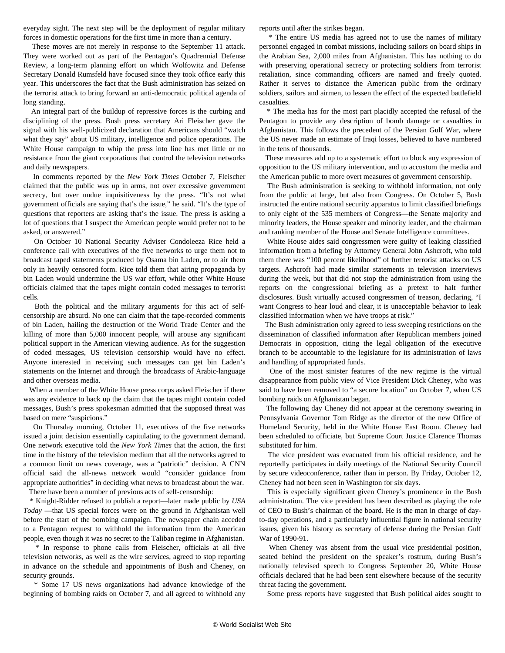everyday sight. The next step will be the deployment of regular military forces in domestic operations for the first time in more than a century.

 These moves are not merely in response to the September 11 attack. They were worked out as part of the Pentagon's Quadrennial Defense Review, a long-term planning effort on which Wolfowitz and Defense Secretary Donald Rumsfeld have focused since they took office early this year. This underscores the fact that the Bush administration has seized on the terrorist attack to bring forward an anti-democratic political agenda of long standing.

 An integral part of the buildup of repressive forces is the curbing and disciplining of the press. Bush press secretary Ari Fleischer gave the signal with his well-publicized declaration that Americans should "watch what they say" about US military, intelligence and police operations. The White House campaign to whip the press into line has met little or no resistance from the giant corporations that control the television networks and daily newspapers.

 In comments reported by the *New York Times* October 7, Fleischer claimed that the public was up in arms, not over excessive government secrecy, but over undue inquisitiveness by the press. "It's not what government officials are saying that's the issue," he said. "It's the type of questions that reporters are asking that's the issue. The press is asking a lot of questions that I suspect the American people would prefer not to be asked, or answered."

 On October 10 National Security Adviser Condoleeza Rice held a conference call with executives of the five networks to urge them not to broadcast taped statements produced by Osama bin Laden, or to air them only in heavily censored form. Rice told them that airing propaganda by bin Laden would undermine the US war effort, while other White House officials claimed that the tapes might contain coded messages to terrorist cells.

 Both the political and the military arguments for this act of selfcensorship are absurd. No one can claim that the tape-recorded comments of bin Laden, hailing the destruction of the World Trade Center and the killing of more than 5,000 innocent people, will arouse any significant political support in the American viewing audience. As for the suggestion of coded messages, US television censorship would have no effect. Anyone interested in receiving such messages can get bin Laden's statements on the Internet and through the broadcasts of Arabic-language and other overseas media.

 When a member of the White House press corps asked Fleischer if there was any evidence to back up the claim that the tapes might contain coded messages, Bush's press spokesman admitted that the supposed threat was based on mere "suspicions."

 On Thursday morning, October 11, executives of the five networks issued a joint decision essentially capitulating to the government demand. One network executive told the *New York Times* that the action, the first time in the history of the television medium that all the networks agreed to a common limit on news coverage, was a "patriotic" decision. A CNN official said the all-news network would "consider guidance from appropriate authorities" in deciding what news to broadcast about the war.

There have been a number of previous acts of self-censorship:

 \* Knight-Ridder refused to publish a report—later made public by *USA Today* —that US special forces were on the ground in Afghanistan well before the start of the bombing campaign. The newspaper chain acceded to a Pentagon request to withhold the information from the American people, even though it was no secret to the Taliban regime in Afghanistan.

 \* In response to phone calls from Fleischer, officials at all five television networks, as well as the wire services, agreed to stop reporting in advance on the schedule and appointments of Bush and Cheney, on security grounds.

 \* Some 17 US news organizations had advance knowledge of the beginning of bombing raids on October 7, and all agreed to withhold any

reports until after the strikes began.

 \* The entire US media has agreed not to use the names of military personnel engaged in combat missions, including sailors on board ships in the Arabian Sea, 2,000 miles from Afghanistan. This has nothing to do with preserving operational secrecy or protecting soldiers from terrorist retaliation, since commanding officers are named and freely quoted. Rather it serves to distance the American public from the ordinary soldiers, sailors and airmen, to lessen the effect of the expected battlefield casualties.

 \* The media has for the most part placidly accepted the refusal of the Pentagon to provide any description of bomb damage or casualties in Afghanistan. This follows the precedent of the Persian Gulf War, where the US never made an estimate of Iraqi losses, believed to have numbered in the tens of thousands.

 These measures add up to a systematic effort to block any expression of opposition to the US military intervention, and to accustom the media and the American public to more overt measures of government censorship.

 The Bush administration is seeking to withhold information, not only from the public at large, but also from Congress. On October 5, Bush instructed the entire national security apparatus to limit classified briefings to only eight of the 535 members of Congress—the Senate majority and minority leaders, the House speaker and minority leader, and the chairman and ranking member of the House and Senate Intelligence committees.

 White House aides said congressmen were guilty of leaking classified information from a briefing by Attorney General John Ashcroft, who told them there was "100 percent likelihood" of further terrorist attacks on US targets. Ashcroft had made similar statements in television interviews during the week, but that did not stop the administration from using the reports on the congressional briefing as a pretext to halt further disclosures. Bush virtually accused congressmen of treason, declaring, "I want Congress to hear loud and clear, it is unacceptable behavior to leak classified information when we have troops at risk."

 The Bush administration only agreed to less sweeping restrictions on the dissemination of classified information after Republican members joined Democrats in opposition, citing the legal obligation of the executive branch to be accountable to the legislature for its administration of laws and handling of appropriated funds.

 One of the most sinister features of the new regime is the virtual disappearance from public view of Vice President Dick Cheney, who was said to have been removed to "a secure location" on October 7, when US bombing raids on Afghanistan began.

 The following day Cheney did not appear at the ceremony swearing in Pennsylvania Governor Tom Ridge as the director of the new Office of Homeland Security, held in the White House East Room. Cheney had been scheduled to officiate, but Supreme Court Justice Clarence Thomas substituted for him.

 The vice president was evacuated from his official residence, and he reportedly participates in daily meetings of the National Security Council by secure videoconference, rather than in person. By Friday, October 12, Cheney had not been seen in Washington for six days.

 This is especially significant given Cheney's prominence in the Bush administration. The vice president has been described as playing the role of CEO to Bush's chairman of the board. He is the man in charge of dayto-day operations, and a particularly influential figure in national security issues, given his history as secretary of defense during the Persian Gulf War of 1990-91.

 When Cheney was absent from the usual vice presidential position, seated behind the president on the speaker's rostrum, during Bush's nationally televised speech to Congress September 20, White House officials declared that he had been sent elsewhere because of the security threat facing the government.

Some press reports have suggested that Bush political aides sought to